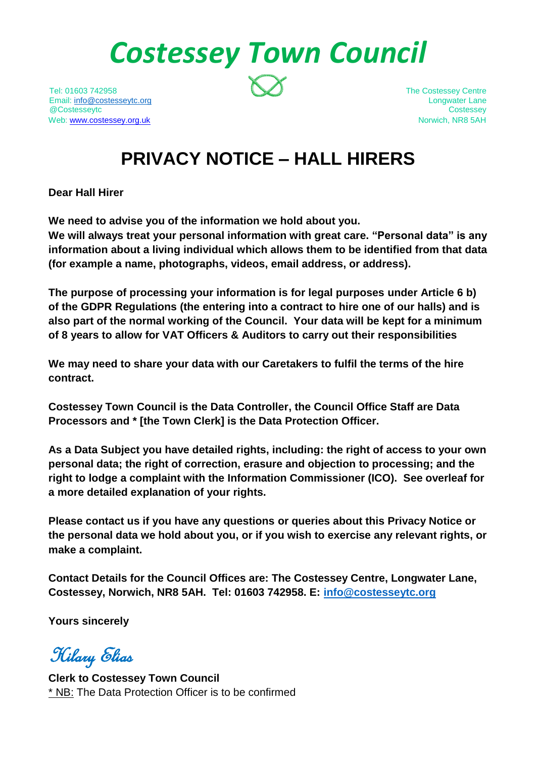*Costessey Town Council*

Tel: 01603 742958 The Costessey Centre Email: [info@costesseytc.org](mailto:info@costesseytc.org) Longwater Lane @Costesseytc Costessey Web[: www.costessey.org.uk](http://www.costessey.org.uk/) Norwich, NR8 5AH

# **PRIVACY NOTICE – HALL HIRERS**

**Dear Hall Hirer**

**We need to advise you of the information we hold about you.**

**We will always treat your personal information with great care. "Personal data" is any information about a living individual which allows them to be identified from that data (for example a name, photographs, videos, email address, or address).** 

**The purpose of processing your information is for legal purposes under Article 6 b) of the GDPR Regulations (the entering into a contract to hire one of our halls) and is also part of the normal working of the Council. Your data will be kept for a minimum of 8 years to allow for VAT Officers & Auditors to carry out their responsibilities**

**We may need to share your data with our Caretakers to fulfil the terms of the hire contract.**

**Costessey Town Council is the Data Controller, the Council Office Staff are Data Processors and \* [the Town Clerk] is the Data Protection Officer.**

**As a Data Subject you have detailed rights, including: the right of access to your own personal data; the right of correction, erasure and objection to processing; and the right to lodge a complaint with the Information Commissioner (ICO). See overleaf for a more detailed explanation of your rights.**

**Please contact us if you have any questions or queries about this Privacy Notice or the personal data we hold about you, or if you wish to exercise any relevant rights, or make a complaint.**

**Contact Details for the Council Offices are: The Costessey Centre, Longwater Lane, Costessey, Norwich, NR8 5AH. Tel: 01603 742958. E: [info@costesseytc.org](mailto:info@costesseytc.org)**

**Yours sincerely**

Hilary Elias

**Clerk to Costessey Town Council**  \* NB: The Data Protection Officer is to be confirmed